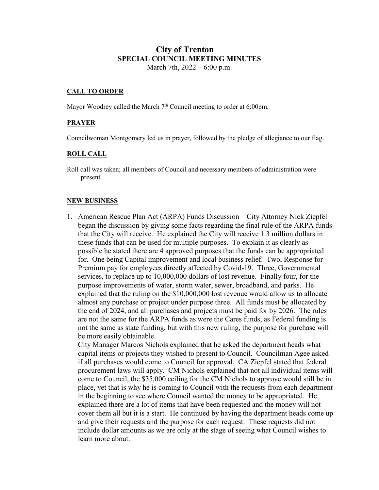# **City of Trenton SPECIAL COUNCIL MEETING MINUTES** March 7th, 2022 – 6:00 p.m.

### **CALL TO ORDER**

Mayor Woodrey called the March  $7<sup>th</sup>$  Council meeting to order at 6:00pm.

## **PRAYER**

Councilwoman Montgomery led us in prayer, followed by the pledge of allegiance to our flag.

### **ROLL CALL**

Roll call was taken; all members of Council and necessary members of administration were present.

### **NEW BUSINESS**

1. American Rescue Plan Act (ARPA) Funds Discussion – City Attorney Nick Ziepfel began the discussion by giving some facts regarding the final rule of the ARPA funds that the City will receive. He explained the City will receive 1.3 million dollars in these funds that can be used for multiple purposes. To explain it as clearly as possible he stated there are 4 approved purposes that the funds can be appropriated for. One being Capital improvement and local business relief. Two, Response for Premium pay for employees directly affected by Covid-19. Three, Governmental services, to replace up to 10,000,000 dollars of lost revenue. Finally four, for the purpose improvements of water, storm water, sewer, broadband, and parks. He explained that the ruling on the \$10,000,000 lost revenue would allow us to allocate almost any purchase or project under purpose three. All funds must be allocated by the end of 2024, and all purchases and projects must be paid for by 2026. The rules are not the same for the ARPA funds as were the Cares funds, as Federal funding is not the same as state funding, but with this new ruling, the purpose for purchase will be more easily obtainable.

City Manager Marcos Nichols explained that he asked the department heads what capital items or projects they wished to present to Council. Councilman Agee asked if all purchases would come to Council for approval. CA Ziepfel stated that federal procurement laws will apply. CM Nichols explained that not all individual items will come to Council, the \$35,000 ceiling for the CM Nichols to approve would still be in place, yet that is why he is coming to Council with the requests from each department in the beginning to see where Council wanted the money to be appropriated. He explained there are a lot of items that have been requested and the money will not cover them all but it is a start. He continued by having the department heads come up and give their requests and the purpose for each request. These requests did not include dollar amounts as we are only at the stage of seeing what Council wishes to learn more about.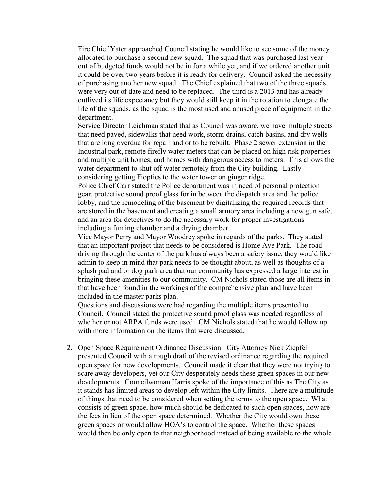Fire Chief Yater approached Council stating he would like to see some of the money allocated to purchase a second new squad. The squad that was purchased last year out of budgeted funds would not be in for a while yet, and if we ordered another unit it could be over two years before it is ready for delivery. Council asked the necessity of purchasing another new squad. The Chief explained that two of the three squads were very out of date and need to be replaced. The third is a 2013 and has already outlived its life expectancy but they would still keep it in the rotation to elongate the life of the squads, as the squad is the most used and abused piece of equipment in the department.

Service Director Leichman stated that as Council was aware, we have multiple streets that need paved, sidewalks that need work, storm drains, catch basins, and dry wells that are long overdue for repair and or to be rebuilt. Phase 2 sewer extension in the Industrial park, remote firefly water meters that can be placed on high risk properties and multiple unit homes, and homes with dangerous access to meters. This allows the water department to shut off water remotely from the City building. Lastly considering getting Fioptics to the water tower on ginger ridge.

Police Chief Carr stated the Police department was in need of personal protection gear, protective sound proof glass for in between the dispatch area and the police lobby, and the remodeling of the basement by digitalizing the required records that are stored in the basement and creating a small armory area including a new gun safe, and an area for detectives to do the necessary work for proper investigations including a fuming chamber and a drying chamber.

Vice Mayor Perry and Mayor Woodrey spoke in regards of the parks. They stated that an important project that needs to be considered is Home Ave Park. The road driving through the center of the park has always been a safety issue, they would like admin to keep in mind that park needs to be thought about, as well as thoughts of a splash pad and or dog park area that our community has expressed a large interest in bringing these amenities to our community. CM Nichols stated those are all items in that have been found in the workings of the comprehensive plan and have been included in the master parks plan.

Questions and discussions were had regarding the multiple items presented to Council. Council stated the protective sound proof glass was needed regardless of whether or not ARPA funds were used. CM Nichols stated that he would follow up with more information on the items that were discussed.

2. Open Space Requirement Ordinance Discussion. City Attorney Nick Ziepfel presented Council with a rough draft of the revised ordinance regarding the required open space for new developments. Council made it clear that they were not trying to scare away developers, yet our City desperately needs these green spaces in our new developments. Councilwoman Harris spoke of the importance of this as The City as it stands has limited areas to develop left within the City limits. There are a multitude of things that need to be considered when setting the terms to the open space. What consists of green space, how much should be dedicated to such open spaces, how are the fees in lieu of the open space determined. Whether the City would own these green spaces or would allow HOA's to control the space. Whether these spaces would then be only open to that neighborhood instead of being available to the whole